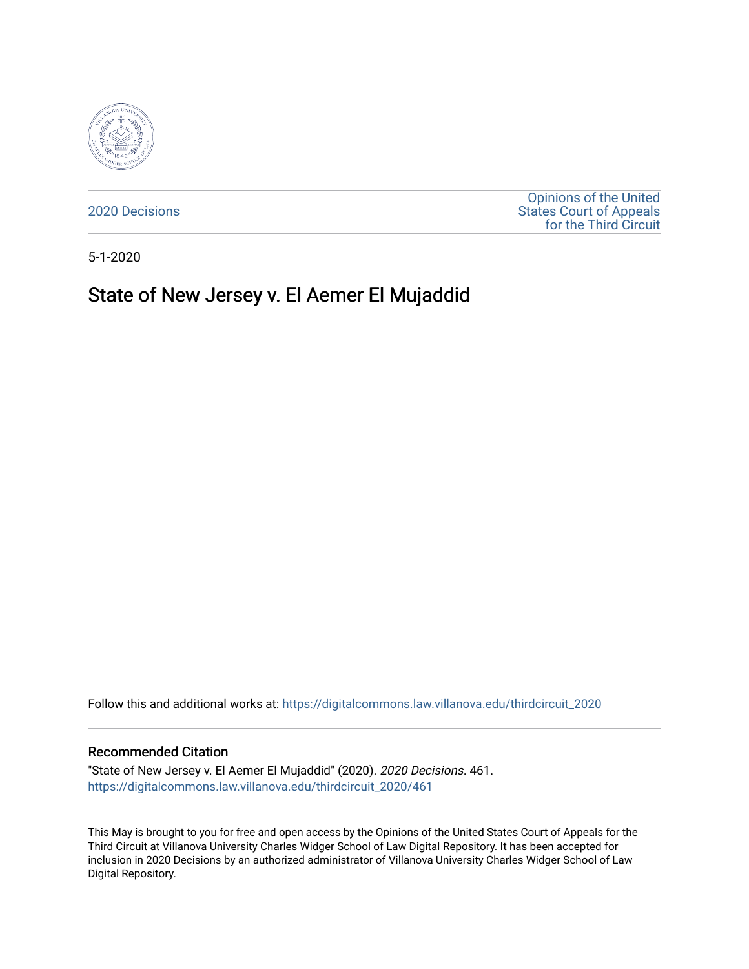

[2020 Decisions](https://digitalcommons.law.villanova.edu/thirdcircuit_2020)

[Opinions of the United](https://digitalcommons.law.villanova.edu/thirdcircuit)  [States Court of Appeals](https://digitalcommons.law.villanova.edu/thirdcircuit)  [for the Third Circuit](https://digitalcommons.law.villanova.edu/thirdcircuit) 

5-1-2020

# State of New Jersey v. El Aemer El Mujaddid

Follow this and additional works at: [https://digitalcommons.law.villanova.edu/thirdcircuit\\_2020](https://digitalcommons.law.villanova.edu/thirdcircuit_2020?utm_source=digitalcommons.law.villanova.edu%2Fthirdcircuit_2020%2F461&utm_medium=PDF&utm_campaign=PDFCoverPages) 

### Recommended Citation

"State of New Jersey v. El Aemer El Mujaddid" (2020). 2020 Decisions. 461. [https://digitalcommons.law.villanova.edu/thirdcircuit\\_2020/461](https://digitalcommons.law.villanova.edu/thirdcircuit_2020/461?utm_source=digitalcommons.law.villanova.edu%2Fthirdcircuit_2020%2F461&utm_medium=PDF&utm_campaign=PDFCoverPages)

This May is brought to you for free and open access by the Opinions of the United States Court of Appeals for the Third Circuit at Villanova University Charles Widger School of Law Digital Repository. It has been accepted for inclusion in 2020 Decisions by an authorized administrator of Villanova University Charles Widger School of Law Digital Repository.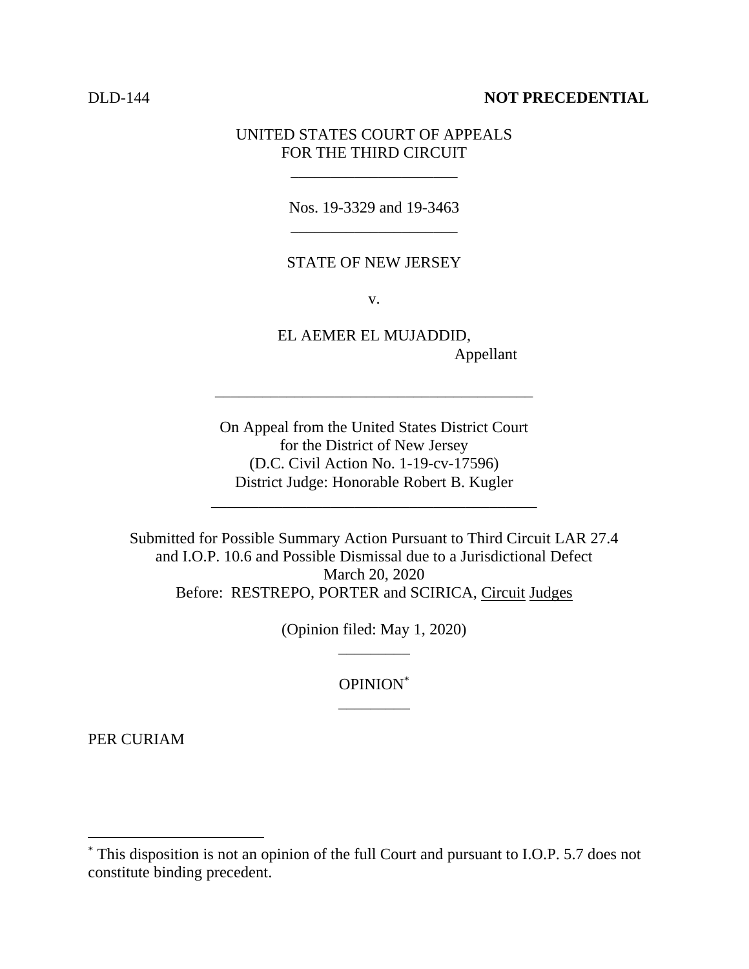# DLD-144 **NOT PRECEDENTIAL**

# UNITED STATES COURT OF APPEALS FOR THE THIRD CIRCUIT

\_\_\_\_\_\_\_\_\_\_\_\_\_\_\_\_\_\_\_\_\_

Nos. 19-3329 and 19-3463 \_\_\_\_\_\_\_\_\_\_\_\_\_\_\_\_\_\_\_\_\_

## STATE OF NEW JERSEY

v.

EL AEMER EL MUJADDID, Appellant

On Appeal from the United States District Court for the District of New Jersey (D.C. Civil Action No. 1-19-cv-17596) District Judge: Honorable Robert B. Kugler

\_\_\_\_\_\_\_\_\_\_\_\_\_\_\_\_\_\_\_\_\_\_\_\_\_\_\_\_\_\_\_\_\_\_\_\_\_\_\_\_\_

\_\_\_\_\_\_\_\_\_\_\_\_\_\_\_\_\_\_\_\_\_\_\_\_\_\_\_\_\_\_\_\_\_\_\_\_\_\_\_\_

Submitted for Possible Summary Action Pursuant to Third Circuit LAR 27.4 and I.O.P. 10.6 and Possible Dismissal due to a Jurisdictional Defect March 20, 2020 Before: RESTREPO, PORTER and SCIRICA, Circuit Judges

> (Opinion filed: May 1, 2020) \_\_\_\_\_\_\_\_\_

> > OPINION\* \_\_\_\_\_\_\_\_\_

PER CURIAM

<sup>\*</sup> This disposition is not an opinion of the full Court and pursuant to I.O.P. 5.7 does not constitute binding precedent.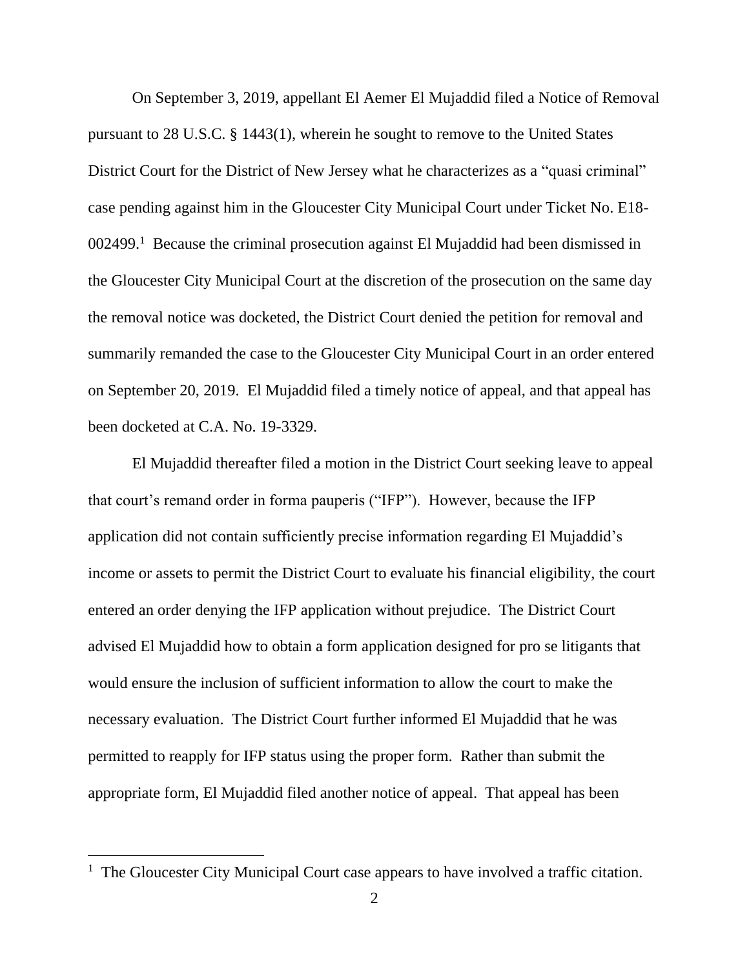On September 3, 2019, appellant El Aemer El Mujaddid filed a Notice of Removal pursuant to 28 U.S.C. § 1443(1), wherein he sought to remove to the United States District Court for the District of New Jersey what he characterizes as a "quasi criminal" case pending against him in the Gloucester City Municipal Court under Ticket No. E18- 002499.<sup>1</sup> Because the criminal prosecution against El Mujaddid had been dismissed in the Gloucester City Municipal Court at the discretion of the prosecution on the same day the removal notice was docketed, the District Court denied the petition for removal and summarily remanded the case to the Gloucester City Municipal Court in an order entered on September 20, 2019. El Mujaddid filed a timely notice of appeal, and that appeal has been docketed at C.A. No. 19-3329.

El Mujaddid thereafter filed a motion in the District Court seeking leave to appeal that court's remand order in forma pauperis ("IFP"). However, because the IFP application did not contain sufficiently precise information regarding El Mujaddid's income or assets to permit the District Court to evaluate his financial eligibility, the court entered an order denying the IFP application without prejudice. The District Court advised El Mujaddid how to obtain a form application designed for pro se litigants that would ensure the inclusion of sufficient information to allow the court to make the necessary evaluation. The District Court further informed El Mujaddid that he was permitted to reapply for IFP status using the proper form. Rather than submit the appropriate form, El Mujaddid filed another notice of appeal. That appeal has been

<sup>&</sup>lt;sup>1</sup> The Gloucester City Municipal Court case appears to have involved a traffic citation.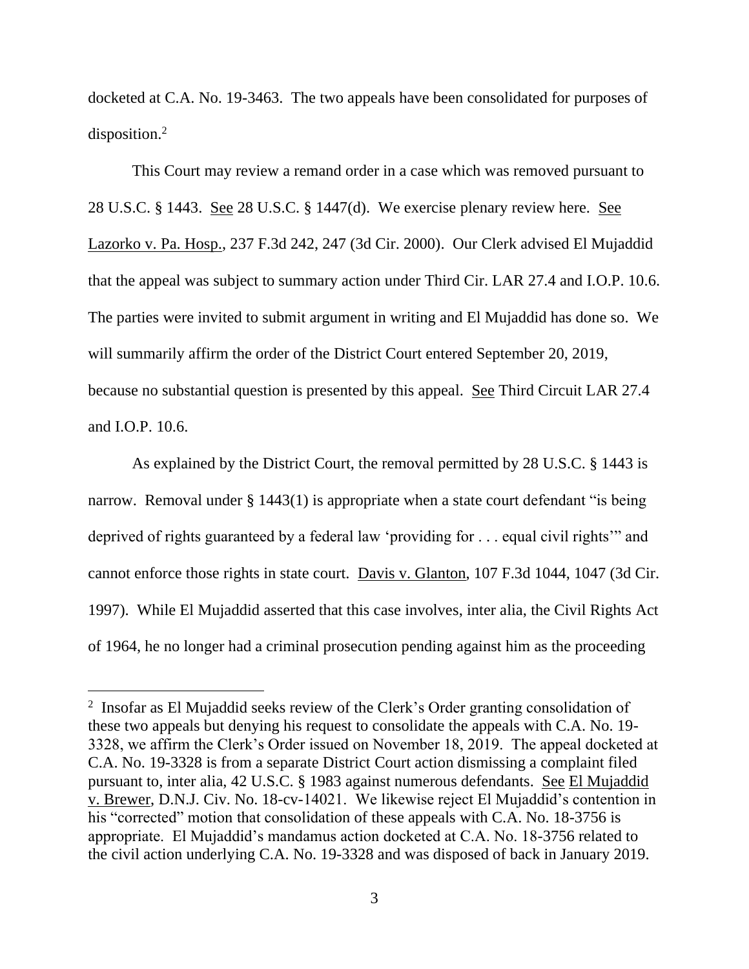docketed at C.A. No. 19-3463. The two appeals have been consolidated for purposes of disposition.<sup>2</sup>

This Court may review a remand order in a case which was removed pursuant to 28 U.S.C. § 1443. See 28 U.S.C. § 1447(d). We exercise plenary review here. See Lazorko v. Pa. Hosp., 237 F.3d 242, 247 (3d Cir. 2000). Our Clerk advised El Mujaddid that the appeal was subject to summary action under Third Cir. LAR 27.4 and I.O.P. 10.6. The parties were invited to submit argument in writing and El Mujaddid has done so. We will summarily affirm the order of the District Court entered September 20, 2019, because no substantial question is presented by this appeal. See Third Circuit LAR 27.4 and I.O.P. 10.6.

As explained by the District Court, the removal permitted by 28 U.S.C. § 1443 is narrow. Removal under § 1443(1) is appropriate when a state court defendant "is being deprived of rights guaranteed by a federal law 'providing for . . . equal civil rights'" and cannot enforce those rights in state court. Davis v. Glanton, 107 F.3d 1044, 1047 (3d Cir. 1997). While El Mujaddid asserted that this case involves, inter alia, the Civil Rights Act of 1964, he no longer had a criminal prosecution pending against him as the proceeding

<sup>&</sup>lt;sup>2</sup> Insofar as El Mujaddid seeks review of the Clerk's Order granting consolidation of these two appeals but denying his request to consolidate the appeals with C.A. No. 19- 3328, we affirm the Clerk's Order issued on November 18, 2019. The appeal docketed at C.A. No. 19-3328 is from a separate District Court action dismissing a complaint filed pursuant to, inter alia, 42 U.S.C. § 1983 against numerous defendants. See El Mujaddid v. Brewer, D.N.J. Civ. No. 18-cv-14021. We likewise reject El Mujaddid's contention in his "corrected" motion that consolidation of these appeals with C.A. No. 18-3756 is appropriate. El Mujaddid's mandamus action docketed at C.A. No. 18-3756 related to the civil action underlying C.A. No. 19-3328 and was disposed of back in January 2019.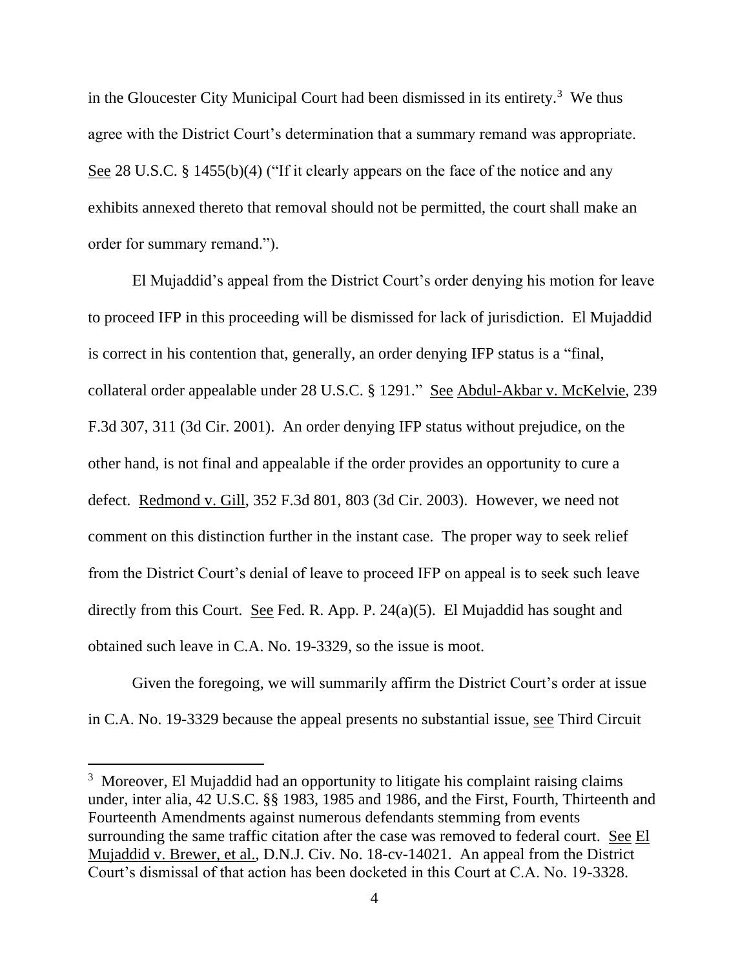in the Gloucester City Municipal Court had been dismissed in its entirety.<sup>3</sup> We thus agree with the District Court's determination that a summary remand was appropriate. See 28 U.S.C. § 1455(b)(4) ("If it clearly appears on the face of the notice and any exhibits annexed thereto that removal should not be permitted, the court shall make an order for summary remand.").

El Mujaddid's appeal from the District Court's order denying his motion for leave to proceed IFP in this proceeding will be dismissed for lack of jurisdiction. El Mujaddid is correct in his contention that, generally, an order denying IFP status is a "final, collateral order appealable under 28 U.S.C. § 1291." See Abdul-Akbar v. McKelvie, 239 F.3d 307, 311 (3d Cir. 2001). An order denying IFP status without prejudice, on the other hand, is not final and appealable if the order provides an opportunity to cure a defect. Redmond v. Gill, 352 F.3d 801, 803 (3d Cir. 2003). However, we need not comment on this distinction further in the instant case. The proper way to seek relief from the District Court's denial of leave to proceed IFP on appeal is to seek such leave directly from this Court. See Fed. R. App. P. 24(a)(5). El Mujaddid has sought and obtained such leave in C.A. No. 19-3329, so the issue is moot.

Given the foregoing, we will summarily affirm the District Court's order at issue in C.A. No. 19-3329 because the appeal presents no substantial issue, see Third Circuit

<sup>&</sup>lt;sup>3</sup> Moreover, El Mujaddid had an opportunity to litigate his complaint raising claims under, inter alia, 42 U.S.C. §§ 1983, 1985 and 1986, and the First, Fourth, Thirteenth and Fourteenth Amendments against numerous defendants stemming from events surrounding the same traffic citation after the case was removed to federal court. See El Mujaddid v. Brewer, et al., D.N.J. Civ. No. 18-cv-14021. An appeal from the District Court's dismissal of that action has been docketed in this Court at C.A. No. 19-3328.